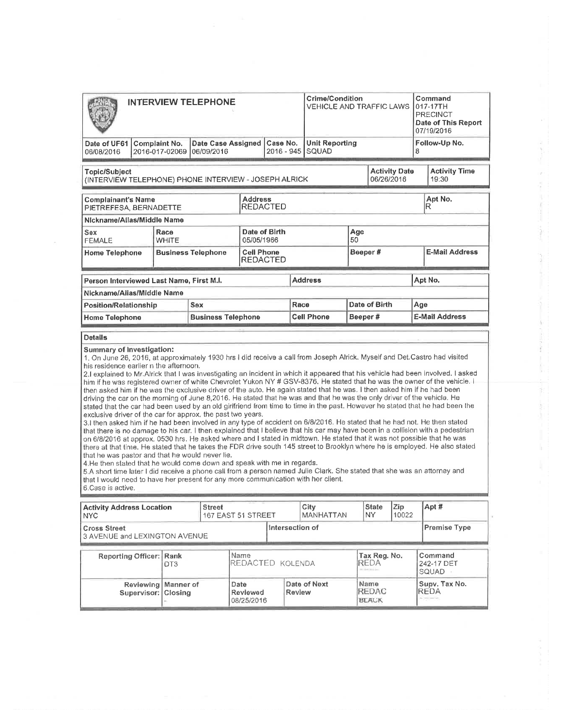| <b>INTERVIEW TELEPHONE</b>                                                                                                                           | Crime/Condition<br>VEHICLE AND TRAFFIC LAWS |                                        |                                         |                                                          | Command<br>017-17TH<br><b>PRECINCT</b><br>Date of This Report<br>07/19/2016 |                   |              |               |     |                       |  |
|------------------------------------------------------------------------------------------------------------------------------------------------------|---------------------------------------------|----------------------------------------|-----------------------------------------|----------------------------------------------------------|-----------------------------------------------------------------------------|-------------------|--------------|---------------|-----|-----------------------|--|
| Date of UF61<br>06/08/2016                                                                                                                           |                                             | <b>Complaint No.</b><br>2016-017-02069 | <b>Date Case Assigned</b><br>06/09/2016 | <b>Unit Reporting</b><br>Case No.<br>SQUAD<br>2016 - 945 |                                                                             |                   |              |               |     | Follow-Up No.<br>8    |  |
| <b>Activity Date</b><br><b>Activity Time</b><br><b>Topic/Subject</b><br>06/26/2016<br>19:30<br>(INTERVIEW TELEPHONE) PHONE INTERVIEW - JOSEPH ALRICK |                                             |                                        |                                         |                                                          |                                                                             |                   |              |               |     |                       |  |
| <b>Address</b><br><b>Complainant's Name</b><br><b>REDACTED</b><br>PIETREFESA, BERNADETTE                                                             |                                             |                                        |                                         |                                                          |                                                                             |                   | Apt No.<br>R |               |     |                       |  |
| Nickname/Allas/Middle Name                                                                                                                           |                                             |                                        |                                         |                                                          |                                                                             |                   |              |               |     |                       |  |
| <b>Sex</b><br><b>FEMALE</b>                                                                                                                          | Race<br><b>WHITE</b>                        |                                        |                                         |                                                          |                                                                             | Age<br>50         |              |               |     |                       |  |
| <b>Business Telephone</b><br><b>Home Telephone</b>                                                                                                   |                                             |                                        |                                         | <b>Cell Phone</b>                                        |                                                                             | Beeper#           |              |               |     | <b>E-Mail Address</b> |  |
|                                                                                                                                                      |                                             |                                        |                                         |                                                          | <b>REDACTED</b>                                                             |                   |              |               |     |                       |  |
| Person Interviewed Last Name, First M.I.                                                                                                             |                                             |                                        |                                         |                                                          |                                                                             | <b>Address</b>    |              |               |     | Apt No.               |  |
| Nickname/Alias/Middle Name                                                                                                                           |                                             |                                        |                                         |                                                          |                                                                             |                   |              |               |     |                       |  |
| <b>Position/Relationship</b>                                                                                                                         |                                             |                                        | <b>Sex</b>                              |                                                          | Race                                                                        |                   |              | Date of Birth | Age |                       |  |
| <b>Home Telephone</b>                                                                                                                                |                                             |                                        | <b>Business Telephone</b>               |                                                          |                                                                             | <b>Cell Phone</b> | Beeper#      |               |     | <b>E-Mail Address</b> |  |
| <b>Details</b>                                                                                                                                       |                                             |                                        |                                         |                                                          |                                                                             |                   |              |               |     |                       |  |

exclusive driver of the car for approx. the past two years.

3.1 then asked him if he had been involved in any type of accident on 6/8/2016. He stated that he had not. He then stated that there is no damage to his car. I then explained that I believe that his car may have boen in a collision with a pedestrian on 6/8/2016 at approx. 0530 hrs. He asked where and I stated in midtown. He stated that it was not possible that he was there at that time. He stated that he takes the FDR drive south 145 street to Brooklyn where he is employed. He also stated that he was pastor and that he would never lie.

4,He then stated that he would come down and speak with me in regards.

5.4 shorl time later I did receive a phone call from a person named Julie Clark. She stated that She was an attorney and that I would need to have her present for any more communlcation with her client.

| 6.Case is active. |  |  |
|-------------------|--|--|
|-------------------|--|--|

| <b>Activity Address Location</b><br><b>NYC</b>       | <b>Street</b>                                                                 | 167 EAST 51 STREET | City<br><b>MANHATTAN</b>                 |  | <b>State</b><br><b>NY</b> | <b>Zip</b><br>10022                              | Apt # |                                      |  |
|------------------------------------------------------|-------------------------------------------------------------------------------|--------------------|------------------------------------------|--|---------------------------|--------------------------------------------------|-------|--------------------------------------|--|
| <b>Cross Street</b><br>3 AVENUE and LEXINGTON AVENUE | Intersection of                                                               |                    | <b>Premise Type</b>                      |  |                           |                                                  |       |                                      |  |
|                                                      | Name<br><b>Reporting Officer: Rank</b><br>REDACTED KOLENDA<br>DT <sub>3</sub> |                    |                                          |  |                           | Tax Reg. No.<br><b>REDA</b><br>the same mode and |       | Command<br>242-17 DET<br>SQUAD       |  |
|                                                      | Reviewing   Manner of<br>Supervisor: Closing                                  |                    | Date<br>Review<br>Reviewed<br>08/25/2016 |  | Date of Next              | Name<br><b>REDAC</b><br><b>BLACK</b>             |       | Supv. Tax No.<br>IREDA<br>to present |  |